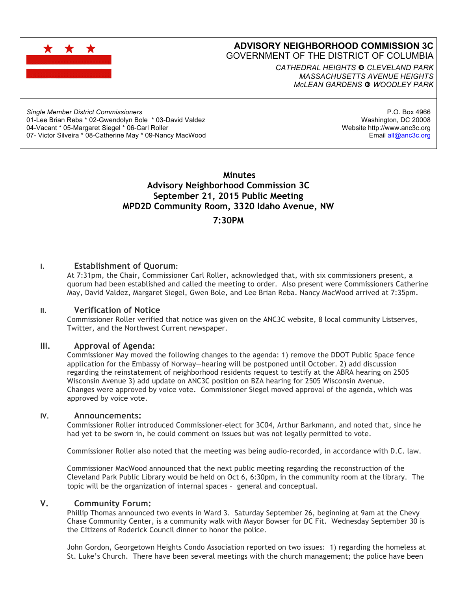

Email all@anc3c.org

 **Minutes Advisory Neighborhood Commission 3C September 21, 2015 Public Meeting MPD2D Community Room, 3320 Idaho Avenue, NW**

### **7:30PM**

#### **I. Establishment of Quorum:**

07- Victor Silveira \* 08-Catherine May \* 09-Nancy MacWood

At 7:31pm, the Chair, Commissioner Carl Roller, acknowledged that, with six commissioners present, a quorum had been established and called the meeting to order. Also present were Commissioners Catherine May, David Valdez, Margaret Siegel, Gwen Bole, and Lee Brian Reba. Nancy MacWood arrived at 7:35pm.

#### **II. Verification of Notice**

Commissioner Roller verified that notice was given on the ANC3C website, 8 local community Listserves, Twitter, and the Northwest Current newspaper.

#### **III. Approval of Agenda:**

Commissioner May moved the following changes to the agenda: 1) remove the DDOT Public Space fence application for the Embassy of Norway—hearing will be postponed until October. 2) add discussion regarding the reinstatement of neighborhood residents request to testify at the ABRA hearing on 2505 Wisconsin Avenue 3) add update on ANC3C position on BZA hearing for 2505 Wisconsin Avenue. Changes were approved by voice vote. Commissioner Siegel moved approval of the agenda, which was approved by voice vote.

#### **IV. Announcements:**

Commissioner Roller introduced Commissioner-elect for 3C04, Arthur Barkmann, and noted that, since he had yet to be sworn in, he could comment on issues but was not legally permitted to vote.

Commissioner Roller also noted that the meeting was being audio-recorded, in accordance with D.C. law.

Commissioner MacWood announced that the next public meeting regarding the reconstruction of the Cleveland Park Public Library would be held on Oct 6, 6:30pm, in the community room at the library. The topic will be the organization of internal spaces – general and conceptual.

#### **V. Community Forum:**

Phillip Thomas announced two events in Ward 3. Saturday September 26, beginning at 9am at the Chevy Chase Community Center, is a community walk with Mayor Bowser for DC Fit. Wednesday September 30 is the Citizens of Roderick Council dinner to honor the police.

John Gordon, Georgetown Heights Condo Association reported on two issues: 1) regarding the homeless at St. Luke's Church. There have been several meetings with the church management; the police have been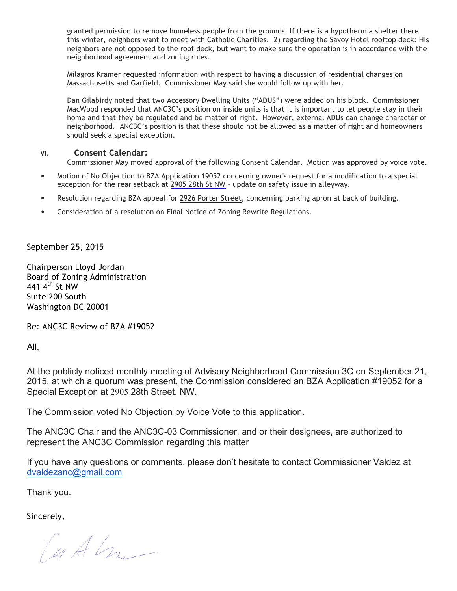granted permission to remove homeless people from the grounds. If there is a hypothermia shelter there this winter, neighbors want to meet with Catholic Charities. 2) regarding the Savoy Hotel rooftop deck: HIs neighbors are not opposed to the roof deck, but want to make sure the operation is in accordance with the neighborhood agreement and zoning rules.

Milagros Kramer requested information with respect to having a discussion of residential changes on Massachusetts and Garfield. Commissioner May said she would follow up with her.

Dan Gilabirdy noted that two Accessory Dwelling Units ("ADUS") were added on his block. Commissioner MacWood responded that ANC3C's position on inside units is that it is important to let people stay in their home and that they be regulated and be matter of right. However, external ADUs can change character of neighborhood. ANC3C's position is that these should not be allowed as a matter of right and homeowners should seek a special exception.

#### **VI. Consent Calendar:**

Commissioner May moved approval of the following Consent Calendar. Motion was approved by voice vote.

- Motion of No Objection to BZA Application 19052 concerning owner's request for a modification to a special exception for the rear setback at 2905 28th St NW – update on safety issue in alleyway.
- Resolution regarding BZA appeal for 2926 Porter Street, concerning parking apron at back of building.
- Consideration of a resolution on Final Notice of Zoning Rewrite Regulations.

September 25, 2015

Chairperson Lloyd Jordan Board of Zoning Administration 441 4<sup>th</sup> St NW Suite 200 South Washington DC 20001

Re: ANC3C Review of BZA #19052

All,

At the publicly noticed monthly meeting of Advisory Neighborhood Commission 3C on September 21, 2015, at which a quorum was present, the Commission considered an BZA Application #19052 for a Special Exception at 2905 28th Street, NW.

The Commission voted No Objection by Voice Vote to this application.

The ANC3C Chair and the ANC3C-03 Commissioner, and or their designees, are authorized to represent the ANC3C Commission regarding this matter

If you have any questions or comments, please don't hesitate to contact Commissioner Valdez at dvaldezanc@gmail.com

Thank you.

Sincerely,

Cuth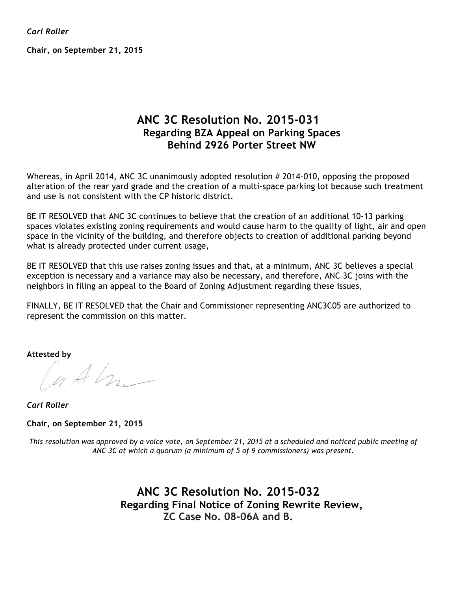*Carl Roller*

**Chair, on September 21, 2015**

# **ANC 3C Resolution No. 2015-031 Regarding BZA Appeal on Parking Spaces Behind 2926 Porter Street NW**

Whereas, in April 2014, ANC 3C unanimously adopted resolution # 2014-010, opposing the proposed alteration of the rear yard grade and the creation of a multi-space parking lot because such treatment and use is not consistent with the CP historic district.

BE IT RESOLVED that ANC 3C continues to believe that the creation of an additional 10-13 parking spaces violates existing zoning requirements and would cause harm to the quality of light, air and open space in the vicinity of the building, and therefore objects to creation of additional parking beyond what is already protected under current usage,

BE IT RESOLVED that this use raises zoning issues and that, at a minimum, ANC 3C believes a special exception is necessary and a variance may also be necessary, and therefore, ANC 3C joins with the neighbors in filing an appeal to the Board of Zoning Adjustment regarding these issues,

FINALLY, BE IT RESOLVED that the Chair and Commissioner representing ANC3C05 are authorized to represent the commission on this matter.

**Attested by**

Cuth

*Carl Roller*

**Chair, on September 21, 2015**

This resolution was approved by a voice vote, on September 21, 2015 at a scheduled and noticed public meeting of *ANC 3C at which a quorum (a minimum of 5 of 9 commissioners) was present.*

> **ANC 3C Resolution No. 2015-032 Regarding Final Notice of Zoning Rewrite Review, ZC Case No. 08-06A and B.**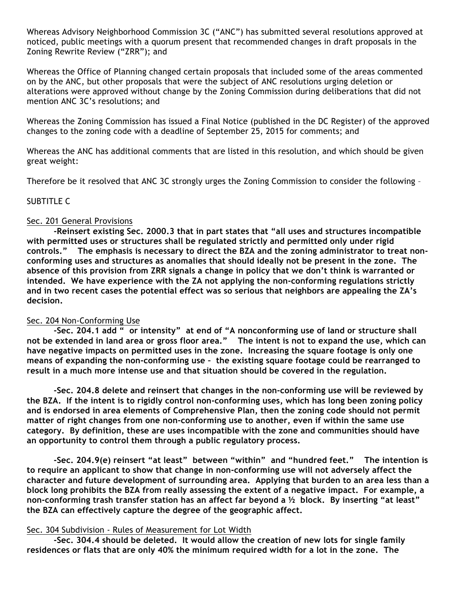Whereas Advisory Neighborhood Commission 3C ("ANC") has submitted several resolutions approved at noticed, public meetings with a quorum present that recommended changes in draft proposals in the Zoning Rewrite Review ("ZRR"); and

Whereas the Office of Planning changed certain proposals that included some of the areas commented on by the ANC, but other proposals that were the subject of ANC resolutions urging deletion or alterations were approved without change by the Zoning Commission during deliberations that did not mention ANC 3C's resolutions; and

Whereas the Zoning Commission has issued a Final Notice (published in the DC Register) of the approved changes to the zoning code with a deadline of September 25, 2015 for comments; and

Whereas the ANC has additional comments that are listed in this resolution, and which should be given great weight:

Therefore be it resolved that ANC 3C strongly urges the Zoning Commission to consider the following –

### SUBTITLE C

### Sec. 201 General Provisions

**-Reinsert existing Sec. 2000.3 that in part states that "all uses and structures incompatible with permitted uses or structures shall be regulated strictly and permitted only under rigid controls." The emphasis is necessary to direct the BZA and the zoning administrator to treat nonconforming uses and structures as anomalies that should ideally not be present in the zone. The absence of this provision from ZRR signals a change in policy that we don't think is warranted or intended. We have experience with the ZA not applying the non-conforming regulations strictly and in two recent cases the potential effect was so serious that neighbors are appealing the ZA's decision.**

### Sec. 204 Non-Conforming Use

**-Sec. 204.1 add " or intensity" at end of "A nonconforming use of land or structure shall** not be extended in land area or gross floor area." The intent is not to expand the use, which can **have negative impacts on permitted uses in the zone. Increasing the square footage is only one means of expanding the non-conforming use – the existing square footage could be rearranged to result in a much more intense use and that situation should be covered in the regulation.**

**-Sec. 204.8 delete and reinsert that changes in the non-conforming use will be reviewed by the BZA. If the intent is to rigidly control non-conforming uses, which has long been zoning policy and is endorsed in area elements of Comprehensive Plan, then the zoning code should not permit matter of right changes from one non-conforming use to another, even if within the same use category. By definition, these are uses incompatible with the zone and communities should have an opportunity to control them through a public regulatory process.** 

**-Sec. 204.9(e) reinsert "at least" between "within" and "hundred feet." The intention is to require an applicant to show that change in non-conforming use will not adversely affect the character and future development of surrounding area. Applying that burden to an area less than a block long prohibits the BZA from really assessing the extent of a negative impact. For example, a non-conforming trash transfer station has an affect far beyond a ½ block. By inserting "at least" the BZA can effectively capture the degree of the geographic affect.**

### Sec. 304 Subdivision - Rules of Measurement for Lot Width

**-Sec. 304.4 should be deleted. It would allow the creation of new lots for single family residences or flats that are only 40% the minimum required width for a lot in the zone. The**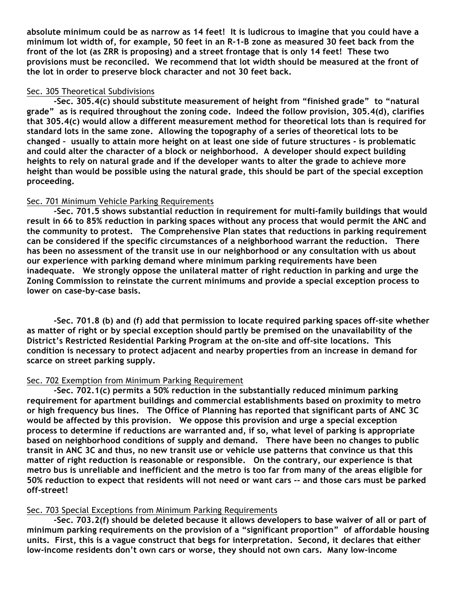**absolute minimum could be as narrow as 14 feet! It is ludicrous to imagine that you could have a** minimum lot width of, for example, 50 feet in an R-1-B zone as measured 30 feet back from the **front of the lot (as ZRR is proposing) and a street frontage that is only 14 feet! These two provisions must be reconciled. We recommend that lot width should be measured at the front of the lot in order to preserve block character and not 30 feet back.**

#### Sec. 305 Theoretical Subdivisions

**-Sec. 305.4(c) should substitute measurement of height from "finished grade" to "natural grade" as is required throughout the zoning code. Indeed the follow provision, 305.4(d), clarifies that 305.4(c) would allow a different measurement method for theoretical lots than is required for standard lots in the same zone. Allowing the topography of a series of theoretical lots to be changed – usually to attain more height on at least one side of future structures - is problematic and could alter the character of a block or neighborhood. A developer should expect building heights to rely on natural grade and if the developer wants to alter the grade to achieve more height than would be possible using the natural grade, this should be part of the special exception proceeding.** 

### Sec. 701 Minimum Vehicle Parking Requirements

**-Sec. 701.5 shows substantial reduction in requirement for multi-family buildings that would result in 66 to 85% reduction in parking spaces without any process that would permit the ANC and the community to protest. The Comprehensive Plan states that reductions in parking requirement can be considered if the specific circumstances of a neighborhood warrant the reduction. There has been no assessment of the transit use in our neighborhood or any consultation with us about our experience with parking demand where minimum parking requirements have been inadequate. We strongly oppose the unilateral matter of right reduction in parking and urge the Zoning Commission to reinstate the current minimums and provide a special exception process to lower on case-by-case basis.**

**-Sec. 701.8 (b) and (f) add that permission to locate required parking spaces off-site whether as matter of right or by special exception should partly be premised on the unavailability of the District's Restricted Residential Parking Program at the on-site and off-site locations. This condition is necessary to protect adjacent and nearby properties from an increase in demand for scarce on street parking supply.**

### Sec. 702 Exemption from Minimum Parking Requirement

**-Sec. 702.1(c) permits a 50% reduction in the substantially reduced minimum parking requirement for apartment buildings and commercial establishments based on proximity to metro or high frequency bus lines. The Office of Planning has reported that significant parts of ANC 3C would be affected by this provision. We oppose this provision and urge a special exception process to determine if reductions are warranted and, if so, what level of parking is appropriate based on neighborhood conditions of supply and demand. There have been no changes to public** transit in ANC 3C and thus, no new transit use or vehicle use patterns that convince us that this **matter of right reduction is reasonable or responsible. On the contrary, our experience is that** metro bus is unreliable and inefficient and the metro is too far from many of the areas eligible for 50% reduction to expect that residents will not need or want cars -- and those cars must be parked **off-street!**

# Sec. 703 Special Exceptions from Minimum Parking Requirements

**-Sec. 703.2(f) should be deleted because it allows developers to base waiver of all or part of minimum parking requirements on the provision of a "significant proportion" of affordable housing units. First, this is a vague construct that begs for interpretation. Second, it declares that either low-income residents don't own cars or worse, they should not own cars. Many low-income**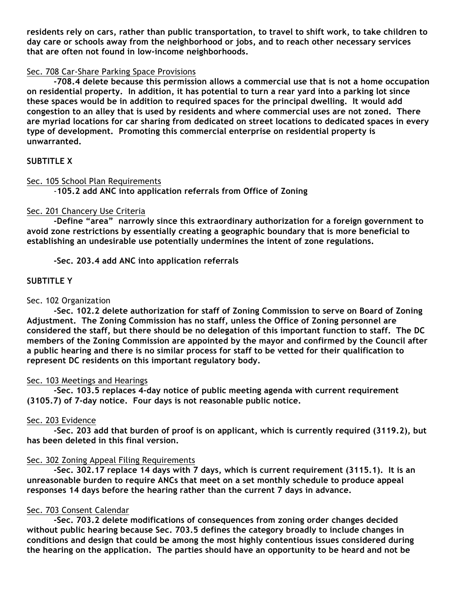**residents rely on cars, rather than public transportation, to travel to shift work, to take children to day care or schools away from the neighborhood or jobs, and to reach other necessary services that are often not found in low-income neighborhoods.**

### Sec. 708 Car-Share Parking Space Provisions

**-708.4 delete because this permission allows a commercial use that is not a home occupation on residential property. In addition, it has potential to turn a rear yard into a parking lot since these spaces would be in addition to required spaces for the principal dwelling. It would add congestion to an alley that is used by residents and where commercial uses are not zoned. There are myriad locations for car sharing from dedicated on street locations to dedicated spaces in every type of development. Promoting this commercial enterprise on residential property is unwarranted.**

# **SUBTITLE X**

### Sec. 105 School Plan Requirements

-**105.2 add ANC into application referrals from Office of Zoning**

# Sec. 201 Chancery Use Criteria

**-Define "area" narrowly since this extraordinary authorization for a foreign government to avoid zone restrictions by essentially creating a geographic boundary that is more beneficial to establishing an undesirable use potentially undermines the intent of zone regulations.**

**-Sec. 203.4 add ANC into application referrals**

# **SUBTITLE Y**

# Sec. 102 Organization

**-Sec. 102.2 delete authorization for staff of Zoning Commission to serve on Board of Zoning Adjustment. The Zoning Commission has no staff, unless the Office of Zoning personnel are considered the staff, but there should be no delegation of this important function to staff. The DC members of the Zoning Commission are appointed by the mayor and confirmed by the Council after a public hearing and there is no similar process for staff to be vetted for their qualification to represent DC residents on this important regulatory body.**

# Sec. 103 Meetings and Hearings

**-Sec. 103.5 replaces 4-day notice of public meeting agenda with current requirement (3105.7) of 7-day notice. Four days is not reasonable public notice.**

# Sec. 203 Evidence

**-Sec. 203 add that burden of proof is on applicant, which is currently required (3119.2), but has been deleted in this final version.**

# Sec. 302 Zoning Appeal Filing Requirements

**-Sec. 302.17 replace 14 days with 7 days, which is current requirement (3115.1). It is an unreasonable burden to require ANCs that meet on a set monthly schedule to produce appeal responses 14 days before the hearing rather than the current 7 days in advance.**

### Sec. 703 Consent Calendar

**-Sec. 703.2 delete modifications of consequences from zoning order changes decided without public hearing because Sec. 703.5 defines the category broadly to include changes in conditions and design that could be among the most highly contentious issues considered during the hearing on the application. The parties should have an opportunity to be heard and not be**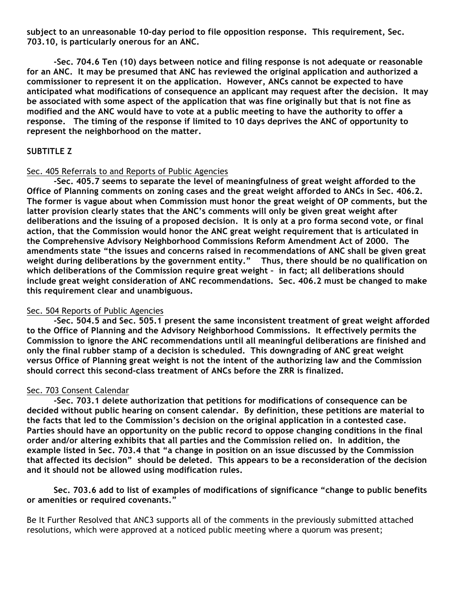**subject to an unreasonable 10-day period to file opposition response. This requirement, Sec. 703.10, is particularly onerous for an ANC.**

**-Sec. 704.6 Ten (10) days between notice and filing response is not adequate or reasonable for an ANC. It may be presumed that ANC has reviewed the original application and authorized a commissioner to represent it on the application. However, ANCs cannot be expected to have anticipated what modifications of consequence an applicant may request after the decision. It may be associated with some aspect of the application that was fine originally but that is not fine as** modified and the ANC would have to vote at a public meeting to have the authority to offer a **response. The timing of the response if limited to 10 days deprives the ANC of opportunity to represent the neighborhood on the matter.**

# **SUBTITLE Z**

### Sec. 405 Referrals to and Reports of Public Agencies

**-Sec. 405.7 seems to separate the level of meaningfulness of great weight afforded to the Office of Planning comments on zoning cases and the great weight afforded to ANCs in Sec. 406.2. The former is vague about when Commission must honor the great weight of OP comments, but the latter provision clearly states that the ANC's comments will only be given great weight after** deliberations and the issuing of a proposed decision. It is only at a pro forma second vote, or final **action, that the Commission would honor the ANC great weight requirement that is articulated in the Comprehensive Advisory Neighborhood Commissions Reform Amendment Act of 2000. The amendments state "the issues and concerns raised in recommendations of ANC shall be given great weight during deliberations by the government entity." Thus, there should be no qualification on which deliberations of the Commission require great weight – in fact; all deliberations should include great weight consideration of ANC recommendations. Sec. 406.2 must be changed to make this requirement clear and unambiguous.**

### Sec. 504 Reports of Public Agencies

**-Sec. 504.5 and Sec. 505.1 present the same inconsistent treatment of great weight afforded to the Office of Planning and the Advisory Neighborhood Commissions. It effectively permits the Commission to ignore the ANC recommendations until all meaningful deliberations are finished and only the final rubber stamp of a decision is scheduled. This downgrading of ANC great weight versus Office of Planning great weight is not the intent of the authorizing law and the Commission should correct this second-class treatment of ANCs before the ZRR is finalized.**

### Sec. 703 Consent Calendar

**-Sec. 703.1 delete authorization that petitions for modifications of consequence can be decided without public hearing on consent calendar. By definition, these petitions are material to the facts that led to the Commission's decision on the original application in a contested case. Parties should have an opportunity on the public record to oppose changing conditions in the final order and/or altering exhibits that all parties and the Commission relied on. In addition, the example listed in Sec. 703.4 that "a change in position on an issue discussed by the Commission that affected its decision" should be deleted. This appears to be a reconsideration of the decision and it should not be allowed using modification rules.** 

**Sec. 703.6 add to list of examples of modifications of significance "change to public benefits or amenities or required covenants."**

Be It Further Resolved that ANC3 supports all of the comments in the previously submitted attached resolutions, which were approved at a noticed public meeting where a quorum was present;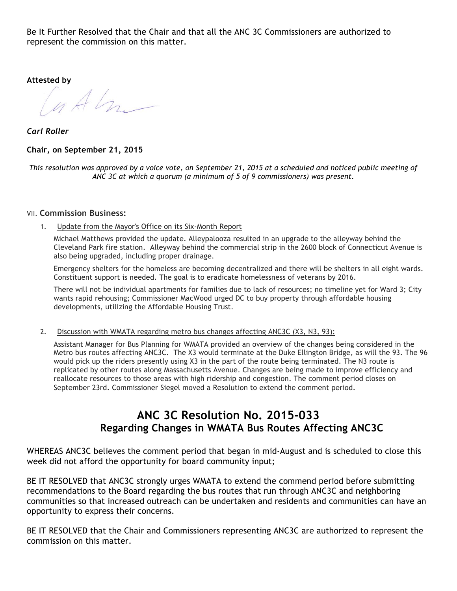Be It Further Resolved that the Chair and that all the ANC 3C Commissioners are authorized to represent the commission on this matter.

**Attested by**

 $u$  Alz  $-$ 

*Carl Roller*

### **Chair, on September 21, 2015**

This resolution was approved by a voice vote, on September 21, 2015 at a scheduled and noticed public meeting of *ANC 3C at which a quorum (a minimum of 5 of 9 commissioners) was present.*

#### VII. **Commission Business:**

1. Update from the Mayor's Office on its Six-Month Report

Michael Matthews provided the update. Alleypalooza resulted in an upgrade to the alleyway behind the Cleveland Park fire station. Alleyway behind the commercial strip in the 2600 block of Connecticut Avenue is also being upgraded, including proper drainage.

Emergency shelters for the homeless are becoming decentralized and there will be shelters in all eight wards. Constituent support is needed. The goal is to eradicate homelessness of veterans by 2016.

There will not be individual apartments for families due to lack of resources; no timeline yet for Ward 3; City wants rapid rehousing; Commissioner MacWood urged DC to buy property through affordable housing developments, utilizing the Affordable Housing Trust.

2. Discussion with WMATA regarding metro bus changes affecting ANC3C (X3, N3, 93):

Assistant Manager for Bus Planning for WMATA provided an overview of the changes being considered in the Metro bus routes affecting ANC3C. The X3 would terminate at the Duke Ellington Bridge, as will the 93. The 96 would pick up the riders presently using X3 in the part of the route being terminated. The N3 route is replicated by other routes along Massachusetts Avenue. Changes are being made to improve efficiency and reallocate resources to those areas with high ridership and congestion. The comment period closes on September 23rd. Commissioner Siegel moved a Resolution to extend the comment period.

# **ANC 3C Resolution No. 2015-033 Regarding Changes in WMATA Bus Routes Affecting ANC3C**

WHEREAS ANC3C believes the comment period that began in mid-August and is scheduled to close this week did not afford the opportunity for board community input;

BE IT RESOLVED that ANC3C strongly urges WMATA to extend the commend period before submitting recommendations to the Board regarding the bus routes that run through ANC3C and neighboring communities so that increased outreach can be undertaken and residents and communities can have an opportunity to express their concerns.

BE IT RESOLVED that the Chair and Commissioners representing ANC3C are authorized to represent the commission on this matter.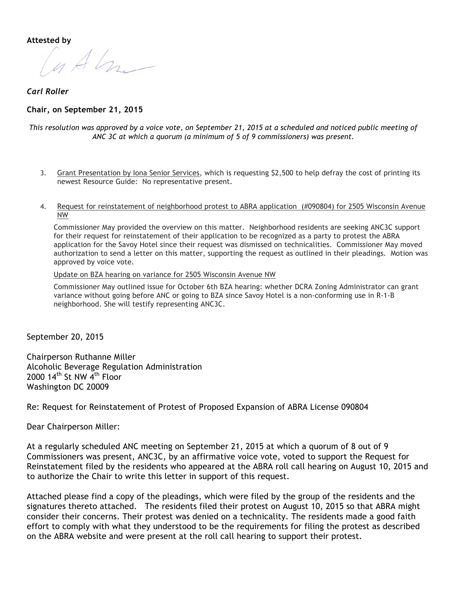**Attested by**

u Alm

*Carl Roller*

#### **Chair, on September 21, 2015**

#### This resolution was approved by a voice vote, on September 21, 2015 at a scheduled and noticed public meeting of *ANC 3C at which a quorum (a minimum of 5 of 9 commissioners) was present.*

- 3. Grant Presentation by Iona Senior Services, which is requesting \$2,500 to help defray the cost of printing its newest Resource Guide: No representative present.
- 4. Request for reinstatement of neighborhood protest to ABRA application (#090804) for 2505 Wisconsin Avenue NW

Commissioner May provided the overview on this matter. Neighborhood residents are seeking ANC3C support for their request for reinstatement of their application to be recognized as a party to protest the ABRA application for the Savoy Hotel since their request was dismissed on technicalities. Commissioner May moved authorization to send a letter on this matter, supporting the request as outlined in their pleadings. Motion was approved by voice vote.

Update on BZA hearing on variance for 2505 Wisconsin Avenue NW

Commissioner May outlined issue for October 6th BZA hearing: whether DCRA Zoning Administrator can grant variance without going before ANC or going to BZA since Savoy Hotel is a non-conforming use in R-1-B neighborhood. She will testify representing ANC3C.

September 20, 2015

Chairperson Ruthanne Miller Alcoholic Beverage Regulation Administration 2000 14<sup>th</sup> St NW 4<sup>th</sup> Floor Washington DC 20009

Re: Request for Reinstatement of Protest of Proposed Expansion of ABRA License 090804

Dear Chairperson Miller:

At a regularly scheduled ANC meeting on September 21, 2015 at which a quorum of 8 out of 9 Commissioners was present, ANC3C, by an affirmative voice vote, voted to support the Request for Reinstatement filed by the residents who appeared at the ABRA roll call hearing on August 10, 2015 and to authorize the Chair to write this letter in support of this request.

Attached please find a copy of the pleadings, which were filed by the group of the residents and the signatures thereto attached. The residents filed their protest on August 10, 2015 so that ABRA might consider their concerns. Their protest was denied on a technicality. The residents made a good faith effort to comply with what they understood to be the requirements for filing the protest as described on the ABRA website and were present at the roll call hearing to support their protest.